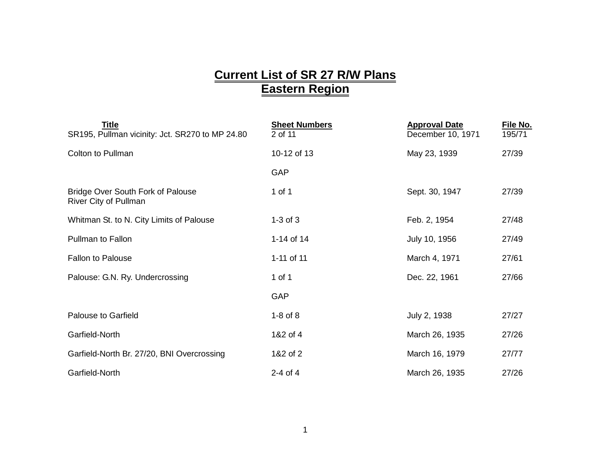## **Current List of SR 27 R/W Plans Eastern Region**

| Title<br>SR195, Pullman vicinity: Jct. SR270 to MP 24.80   | <b>Sheet Numbers</b><br>2 of 11 | <b>Approval Date</b><br>December 10, 1971 | File No.<br>195/71 |
|------------------------------------------------------------|---------------------------------|-------------------------------------------|--------------------|
| <b>Colton to Pullman</b>                                   | 10-12 of 13                     | May 23, 1939                              | 27/39              |
|                                                            | GAP                             |                                           |                    |
| Bridge Over South Fork of Palouse<br>River City of Pullman | 1 of 1                          | Sept. 30, 1947                            | 27/39              |
| Whitman St. to N. City Limits of Palouse                   | $1-3$ of $3$                    | Feb. 2, 1954                              | 27/48              |
| Pullman to Fallon                                          | 1-14 of 14                      | July 10, 1956                             | 27/49              |
| <b>Fallon to Palouse</b>                                   | 1-11 of 11                      | March 4, 1971                             | 27/61              |
| Palouse: G.N. Ry. Undercrossing                            | 1 of 1                          | Dec. 22, 1961                             | 27/66              |
|                                                            | GAP                             |                                           |                    |
| <b>Palouse to Garfield</b>                                 | $1-8$ of $8$                    | July 2, 1938                              | 27/27              |
| Garfield-North                                             | 1&2 of 4                        | March 26, 1935                            | 27/26              |
| Garfield-North Br. 27/20, BNI Overcrossing                 | 1&2 of 2                        | March 16, 1979                            | 27/77              |
| Garfield-North                                             | $2-4$ of $4$                    | March 26, 1935                            | 27/26              |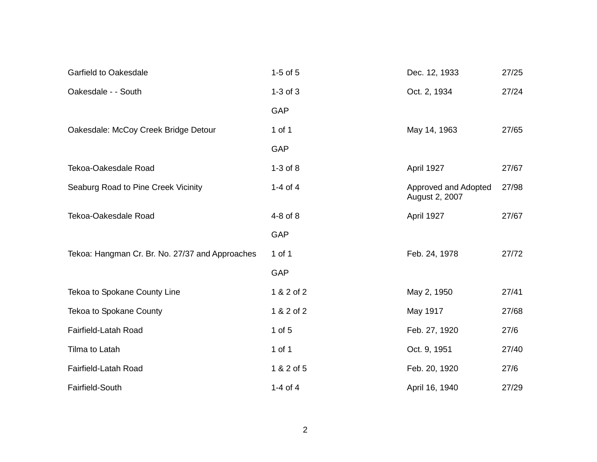| <b>Garfield to Oakesdale</b>                    | $1-5$ of $5$ | Dec. 12, 1933                          | 27/25 |
|-------------------------------------------------|--------------|----------------------------------------|-------|
| Oakesdale - - South                             | $1-3$ of $3$ | Oct. 2, 1934                           | 27/24 |
|                                                 | GAP          |                                        |       |
| Oakesdale: McCoy Creek Bridge Detour            | 1 of 1       | May 14, 1963                           | 27/65 |
|                                                 | GAP          |                                        |       |
| Tekoa-Oakesdale Road                            | $1-3$ of $8$ | April 1927                             | 27/67 |
| Seaburg Road to Pine Creek Vicinity             | 1-4 of $4$   | Approved and Adopted<br>August 2, 2007 | 27/98 |
| Tekoa-Oakesdale Road                            | 4-8 of 8     | April 1927                             | 27/67 |
|                                                 | GAP          |                                        |       |
| Tekoa: Hangman Cr. Br. No. 27/37 and Approaches | 1 of 1       | Feb. 24, 1978                          | 27/72 |
|                                                 | <b>GAP</b>   |                                        |       |
| Tekoa to Spokane County Line                    | 1 & 2 of 2   | May 2, 1950                            | 27/41 |
| Tekoa to Spokane County                         | 1 & 2 of 2   | May 1917                               | 27/68 |
| Fairfield-Latah Road                            | $1$ of $5$   | Feb. 27, 1920                          | 27/6  |
| Tilma to Latah                                  | 1 of 1       | Oct. 9, 1951                           | 27/40 |
| Fairfield-Latah Road                            | 1 & 2 of 5   | Feb. 20, 1920                          | 27/6  |
| Fairfield-South                                 | 1-4 of $4$   | April 16, 1940                         | 27/29 |